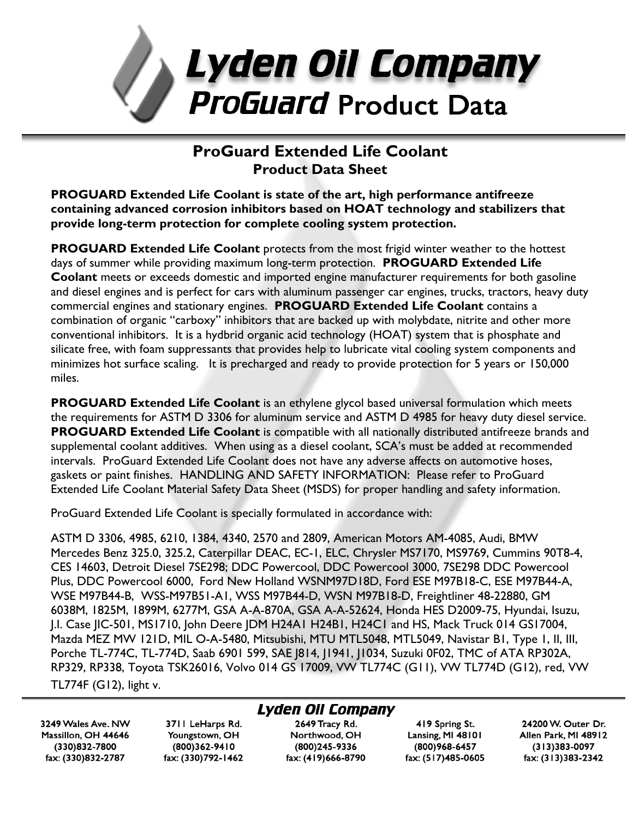

# **ProGuard Extended Life Coolant Product Data Sheet**

**PROGUARD Extended Life Coolant is state of the art, high performance antifreeze containing advanced corrosion inhibitors based on HOAT technology and stabilizers that provide long-term protection for complete cooling system protection.**

**PROGUARD Extended Life Coolant** protects from the most frigid winter weather to the hottest days of summer while providing maximum long-term protection. **PROGUARD Extended Life Coolant** meets or exceeds domestic and imported engine manufacturer requirements for both gasoline and diesel engines and is perfect for cars with aluminum passenger car engines, trucks, tractors, heavy duty commercial engines and stationary engines. **PROGUARD Extended Life Coolant** contains a combination of organic "carboxy" inhibitors that are backed up with molybdate, nitrite and other more conventional inhibitors. It is a hydbrid organic acid technology (HOAT) system that is phosphate and silicate free, with foam suppressants that provides help to lubricate vital cooling system components and minimizes hot surface scaling. It is precharged and ready to provide protection for 5 years or 150,000 miles.

**PROGUARD Extended Life Coolant** is an ethylene glycol based universal formulation which meets the requirements for ASTM D 3306 for aluminum service and ASTM D 4985 for heavy duty diesel service. **PROGUARD Extended Life Coolant** is compatible with all nationally distributed antifreeze brands and supplemental coolant additives. When using as a diesel coolant, SCA's must be added at recommended intervals. ProGuard Extended Life Coolant does not have any adverse affects on automotive hoses, gaskets or paint finishes. HANDLING AND SAFETY INFORMATION: Please refer to ProGuard Extended Life Coolant Material Safety Data Sheet (MSDS) for proper handling and safety information.

ProGuard Extended Life Coolant is specially formulated in accordance with:

ASTM D 3306, 4985, 6210, 1384, 4340, 2570 and 2809, American Motors AM-4085, Audi, BMW Mercedes Benz 325.0, 325.2, Caterpillar DEAC, EC-1, ELC, Chrysler MS7170, MS9769, Cummins 90T8-4, CES 14603, Detroit Diesel 7SE298; DDC Powercool, DDC Powercool 3000, 7SE298 DDC Powercool Plus, DDC Powercool 6000, Ford New Holland WSNM97D18D, Ford ESE M97B18-C, ESE M97B44-A, WSE M97B44-B, WSS-M97B51-A1, WSS M97B44-D, WSN M97B18-D, Freightliner 48-22880, GM 6038M, 1825M, 1899M, 6277M, GSA A-A-870A, GSA A-A-52624, Honda HES D2009-75, Hyundai, Isuzu, J.I. Case JIC-501, MS1710, John Deere JDM H24A1 H24B1, H24C1 and HS, Mack Truck 014 GS17004, Mazda MEZ MW 121D, MIL O-A-5480, Mitsubishi, MTU MTL5048, MTL5049, Navistar B1, Type 1, II, III, Porche TL-774C, TL-774D, Saab 6901 599, SAE J814, J1941, J1034, Suzuki 0F02, TMC of ATA RP302A, RP329, RP338, Toyota TSK26016, Volvo 014 GS 17009, VW TL774C (G11), VW TL774D (G12), red, VW TL774F (G12), light v.

Lyden Oil Company

3249 Wales Ave. NW Massillon, OH 44646 (330)832-7800 fax: (330)832-2787

3711 LeHarps Rd. Youngstown, OH (800)362-9410 fax: (330)792-1462

## 2649 Tracy Rd. Northwood, OH

(800)245-9336 fax: (419)666-8790

419 Spring St. Lansing, MI 48101 (800)968-6457 fax: (517)485-0605

24200 W. Outer Dr. Allen Park, MI 48912  $(313)383 - 0097$ fax: (313)383-2342